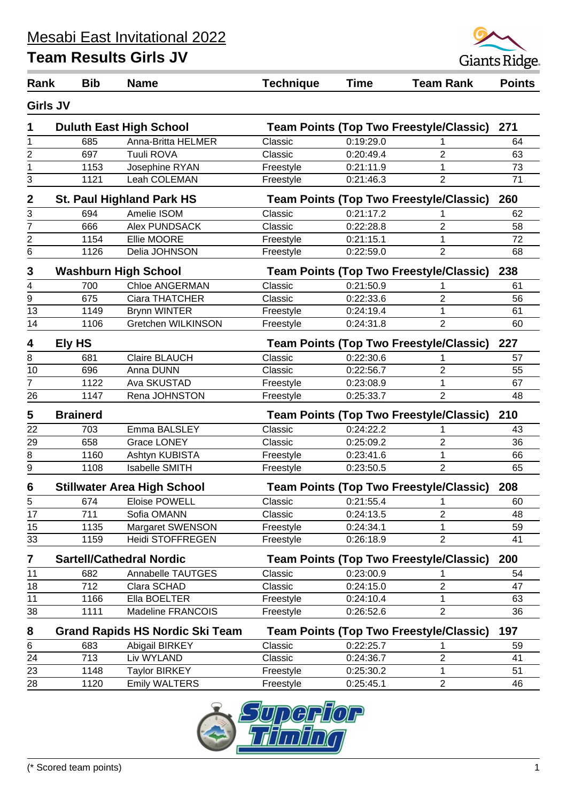

| Rank                    | <b>Bib</b>      | <b>Name</b>                                                                              | <b>Technique</b> | <b>Time</b> | <b>Team Rank</b>                               | <b>Points</b> |
|-------------------------|-----------------|------------------------------------------------------------------------------------------|------------------|-------------|------------------------------------------------|---------------|
|                         | <b>Girls JV</b> |                                                                                          |                  |             |                                                |               |
| 1                       |                 | <b>Duluth East High School</b>                                                           |                  |             | <b>Team Points (Top Two Freestyle/Classic)</b> | 271           |
| 1                       | 685             | Anna-Britta HELMER                                                                       | Classic          | 0:19:29.0   |                                                | 64            |
|                         | 697             | Tuuli ROVA                                                                               | Classic          | 0:20:49.4   | $\mathbf{2}$                                   | 63            |
| $\frac{2}{1}$           | 1153            | Josephine RYAN                                                                           | Freestyle        | 0:21:11.9   | 1                                              | 73            |
| 3                       | 1121            | Leah COLEMAN                                                                             | Freestyle        | 0:21:46.3   | $\overline{2}$                                 | 71            |
| $\overline{2}$          |                 | <b>St. Paul Highland Park HS</b>                                                         |                  |             | <b>Team Points (Top Two Freestyle/Classic)</b> | 260           |
| 3                       | 694             | Amelie ISOM                                                                              | Classic          | 0:21:17.2   |                                                | 62            |
| 7                       | 666             | Alex PUNDSACK                                                                            | Classic          | 0:22:28.8   | $\overline{2}$                                 | 58            |
| $\overline{\mathbf{c}}$ | 1154            | Ellie MOORE                                                                              | Freestyle        | 0:21:15.1   | 1                                              | 72            |
| 6                       | 1126            | Delia JOHNSON                                                                            | Freestyle        | 0:22:59.0   | $\overline{2}$                                 | 68            |
| 3                       |                 | <b>Washburn High School</b>                                                              |                  |             | <b>Team Points (Top Two Freestyle/Classic)</b> | 238           |
| 4                       | 700             | <b>Chloe ANGERMAN</b>                                                                    | Classic          | 0:21:50.9   |                                                | 61            |
| $\overline{9}$          | 675             | Ciara THATCHER                                                                           | Classic          | 0:22:33.6   | $\overline{2}$                                 | 56            |
| 13                      | 1149            | <b>Brynn WINTER</b>                                                                      | Freestyle        | 0:24:19.4   | 1                                              | 61            |
| 14                      | 1106            | Gretchen WILKINSON                                                                       | Freestyle        | 0:24:31.8   | $\overline{2}$                                 | 60            |
| 4                       | Ely HS          |                                                                                          |                  |             | <b>Team Points (Top Two Freestyle/Classic)</b> | 227           |
| 8                       | 681             | Claire BLAUCH                                                                            | Classic          | 0:22:30.6   |                                                | 57            |
| 10                      | 696             | Anna DUNN                                                                                | Classic          | 0:22:56.7   | $\overline{2}$                                 | 55            |
| 7                       | 1122            | Ava SKUSTAD                                                                              | Freestyle        | 0:23:08.9   | 1                                              | 67            |
| 26                      | 1147            | Rena JOHNSTON                                                                            | Freestyle        | 0:25:33.7   | $\overline{2}$                                 | 48            |
| 5                       | <b>Brainerd</b> |                                                                                          |                  |             | <b>Team Points (Top Two Freestyle/Classic)</b> | 210           |
| 22                      | 703             | Emma BALSLEY                                                                             | Classic          | 0:24:22.2   |                                                | 43            |
| 29                      | 658             | <b>Grace LONEY</b>                                                                       | Classic          | 0:25:09.2   | $\overline{2}$                                 | 36            |
| 8                       | 1160            | Ashtyn KUBISTA                                                                           | Freestyle        | 0:23:41.6   | 1                                              | 66            |
| 9                       | 1108            | <b>Isabelle SMITH</b>                                                                    | Freestyle        | 0:23:50.5   | $\overline{2}$                                 | 65            |
| 6                       |                 | <b>Stillwater Area High School</b>                                                       |                  |             | <b>Team Points (Top Two Freestyle/Classic)</b> | 208           |
| 5                       | 674             | <b>Eloise POWELL</b>                                                                     | Classic          | 0:21:55.4   | 1                                              | 60            |
| $\overline{17}$         | 711             | Sofia OMANN                                                                              | Classic          | 0:24:13.5   | $\overline{c}$                                 | 48            |
| 15                      | 1135            | Margaret SWENSON                                                                         | Freestyle        | 0:24:34.1   | 1                                              | 59            |
| 33                      | 1159            | <b>Heidi STOFFREGEN</b>                                                                  | Freestyle        | 0:26:18.9   | $\overline{2}$                                 | 41            |
| 7                       |                 | <b>Sartell/Cathedral Nordic</b>                                                          |                  |             | <b>Team Points (Top Two Freestyle/Classic)</b> | 200           |
| 11                      | 682             | Annabelle TAUTGES                                                                        | Classic          | 0:23:00.9   |                                                | 54            |
| 18                      | 712             | Clara SCHAD                                                                              | Classic          | 0:24:15.0   | $\overline{2}$                                 | 47            |
| 11                      | 1166            | Ella BOELTER                                                                             | Freestyle        | 0:24:10.4   | 1                                              | 63            |
| 38                      | 1111            | Madeline FRANCOIS                                                                        | Freestyle        | 0:26:52.6   | 2                                              | 36            |
| 8                       |                 | <b>Team Points (Top Two Freestyle/Classic)</b><br><b>Grand Rapids HS Nordic Ski Team</b> |                  |             |                                                | 197           |
| 6                       | 683             | Abigail BIRKEY                                                                           | Classic          | 0:22:25.7   | 1                                              | 59            |
| 24                      | 713             | Liv WYLAND                                                                               | Classic          | 0:24:36.7   | $\mathbf{2}$                                   | 41            |
| 23                      | 1148            | <b>Taylor BIRKEY</b>                                                                     | Freestyle        | 0:25:30.2   | 1                                              | 51            |
| 28                      | 1120            | <b>Emily WALTERS</b>                                                                     | Freestyle        | 0:25:45.1   | $\overline{2}$                                 | 46            |

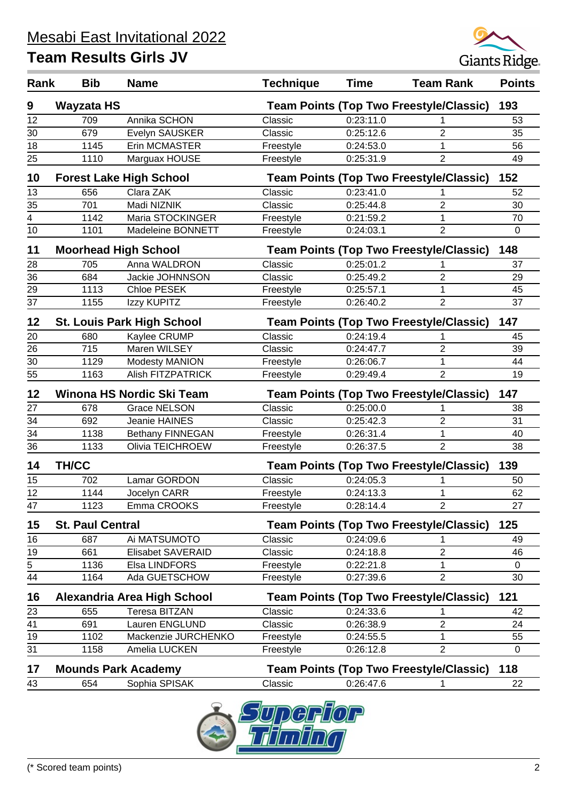

| Rank | <b>Bib</b>              | <b>Name</b>                       | <b>Technique</b>                               | <b>Time</b> | <b>Team Rank</b>                               | <b>Points</b> |
|------|-------------------------|-----------------------------------|------------------------------------------------|-------------|------------------------------------------------|---------------|
| 9    | <b>Wayzata HS</b>       |                                   |                                                |             | <b>Team Points (Top Two Freestyle/Classic)</b> | 193           |
| 12   | 709                     | Annika SCHON                      | Classic                                        | 0:23:11.0   |                                                | 53            |
| 30   | 679                     | Evelyn SAUSKER                    | Classic                                        | 0:25:12.6   | 2                                              | 35            |
| 18   | 1145                    | Erin MCMASTER                     | Freestyle                                      | 0:24:53.0   | 1                                              | 56            |
| 25   | 1110                    | Marguax HOUSE                     | Freestyle                                      | 0:25:31.9   | 2                                              | 49            |
| 10   |                         | <b>Forest Lake High School</b>    |                                                |             | <b>Team Points (Top Two Freestyle/Classic)</b> | 152           |
| 13   | 656                     | Clara ZAK                         | Classic                                        | 0:23:41.0   | 1                                              | 52            |
| 35   | 701                     | Madi NIZNIK                       | Classic                                        | 0:25:44.8   | 2                                              | 30            |
| 4    | 1142                    | Maria STOCKINGER                  | Freestyle                                      | 0:21:59.2   | 1                                              | 70            |
| 10   | 1101                    | Madeleine BONNETT                 | Freestyle                                      | 0:24:03.1   | 2                                              | $\mathbf 0$   |
| 11   |                         | <b>Moorhead High School</b>       |                                                |             | <b>Team Points (Top Two Freestyle/Classic)</b> | 148           |
| 28   | 705                     | Anna WALDRON                      | Classic                                        | 0:25:01.2   | 1                                              | 37            |
| 36   | 684                     | Jackie JOHNNSON                   | Classic                                        | 0:25:49.2   | $\overline{2}$                                 | 29            |
| 29   | 1113                    | Chloe PESEK                       | Freestyle                                      | 0:25:57.1   | 1                                              | 45            |
| 37   | 1155                    | Izzy KUPITZ                       | Freestyle                                      | 0:26:40.2   | $\overline{2}$                                 | 37            |
| 12   |                         | <b>St. Louis Park High School</b> |                                                |             | <b>Team Points (Top Two Freestyle/Classic)</b> | 147           |
| 20   | 680                     | Kaylee CRUMP                      | Classic                                        | 0:24:19.4   |                                                | 45            |
| 26   | 715                     | Maren WILSEY                      | Classic                                        | 0:24:47.7   | 2                                              | 39            |
| 30   | 1129                    | Modesty MANION                    | Freestyle                                      | 0:26:06.7   | 1                                              | 44            |
| 55   | 1163                    | <b>Alish FITZPATRICK</b>          | Freestyle                                      | 0:29:49.4   | $\overline{2}$                                 | 19            |
| 12   |                         | Winona HS Nordic Ski Team         |                                                |             | <b>Team Points (Top Two Freestyle/Classic)</b> | 147           |
| 27   | 678                     | <b>Grace NELSON</b>               | Classic                                        | 0:25:00.0   | 1                                              | 38            |
| 34   | 692                     | Jeanie HAINES                     | Classic                                        | 0:25:42.3   | 2                                              | 31            |
| 34   | 1138                    | Bethany FINNEGAN                  | Freestyle                                      | 0:26:31.4   | $\mathbf 1$                                    | 40            |
| 36   | 1133                    | Olivia TEICHROEW                  | Freestyle                                      | 0:26:37.5   | $\overline{2}$                                 | 38            |
| 14   | <b>TH/CC</b>            |                                   |                                                |             | <b>Team Points (Top Two Freestyle/Classic)</b> | 139           |
| 15   | 702                     | Lamar GORDON                      | Classic                                        | 0:24:05.3   | 1                                              | 50            |
| 12   | 1144                    | Jocelyn CARR                      | Freestyle                                      | 0:24:13.3   | 1                                              | 62            |
| 47   | 1123                    | Emma CROOKS                       | Freestyle                                      | 0:28:14.4   | 2                                              | 27            |
| 15   | <b>St. Paul Central</b> |                                   | <b>Team Points (Top Two Freestyle/Classic)</b> |             |                                                | 125           |
| 16   | 687                     | Ai MATSUMOTO                      | Classic                                        | 0:24:09.6   | 1                                              | 49            |
| 19   | 661                     | <b>Elisabet SAVERAID</b>          | Classic                                        | 0:24:18.8   | 2                                              | 46            |
| 5    | 1136                    | Elsa LINDFORS                     | Freestyle                                      | 0:22:21.8   | 1                                              | $\mathbf 0$   |
| 44   | 1164                    | Ada GUETSCHOW                     | Freestyle                                      | 0:27:39.6   | $\overline{2}$                                 | 30            |
| 16   |                         | Alexandria Area High School       |                                                |             | <b>Team Points (Top Two Freestyle/Classic)</b> | 121           |
| 23   | 655                     | <b>Teresa BITZAN</b>              | Classic                                        | 0:24:33.6   | 1                                              | 42            |
| 41   | 691                     | Lauren ENGLUND                    | Classic                                        | 0:26:38.9   | 2                                              | 24            |
| 19   | 1102                    | Mackenzie JURCHENKO               | Freestyle                                      | 0:24:55.5   | 1                                              | 55            |
| 31   | 1158                    | Amelia LUCKEN                     | Freestyle                                      | 0:26:12.8   | 2                                              | 0             |
| 17   |                         | <b>Mounds Park Academy</b>        |                                                |             | <b>Team Points (Top Two Freestyle/Classic)</b> | 118           |
| 43   | 654                     | Sophia SPISAK                     | Classic                                        | 0:26:47.6   | 1                                              | 22            |

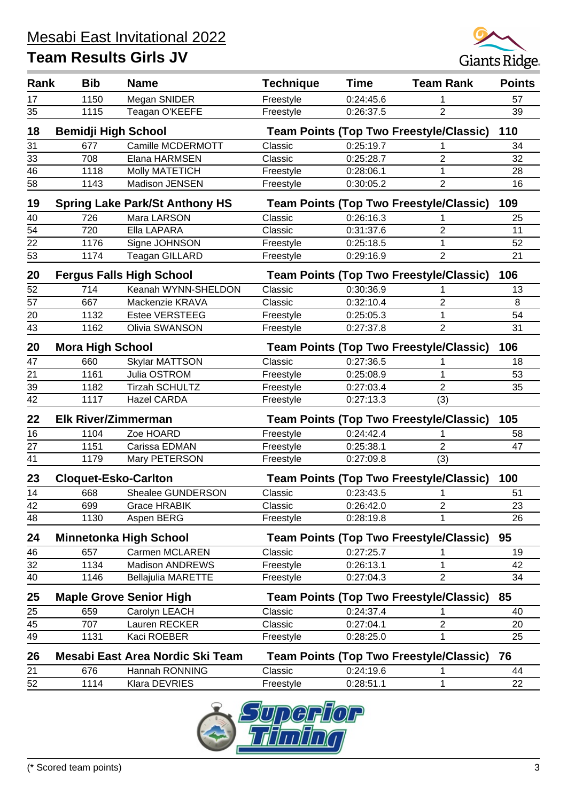

| Rank            | <b>Bib</b>                  | <b>Name</b>                                                               | <b>Technique</b>                               | <b>Time</b> | <b>Team Rank</b>                               | <b>Points</b> |
|-----------------|-----------------------------|---------------------------------------------------------------------------|------------------------------------------------|-------------|------------------------------------------------|---------------|
| 17              | 1150                        | Megan SNIDER                                                              | Freestyle                                      | 0:24:45.6   |                                                | 57            |
| $\overline{35}$ | 1115                        | Teagan O'KEEFE                                                            | Freestyle                                      | 0:26:37.5   | $\overline{2}$                                 | 39            |
|                 |                             |                                                                           |                                                |             |                                                |               |
| 18              | <b>Bemidji High School</b>  |                                                                           |                                                |             | <b>Team Points (Top Two Freestyle/Classic)</b> | 110           |
| 31              | 677                         | Camille MCDERMOTT                                                         | Classic                                        | 0:25:19.7   | 1                                              | 34            |
| 33              | 708                         | Elana HARMSEN                                                             | Classic                                        | 0:25:28.7   | $\overline{2}$                                 | 32            |
| 46              | 1118                        | <b>Molly MATETICH</b>                                                     | Freestyle                                      | 0:28:06.1   | 1                                              | 28            |
| 58              | 1143                        | Madison JENSEN                                                            | Freestyle                                      | 0:30:05.2   | $\mathbf{2}$                                   | 16            |
| 19              |                             | <b>Spring Lake Park/St Anthony HS</b>                                     |                                                |             | <b>Team Points (Top Two Freestyle/Classic)</b> | 109           |
| 40              | 726                         | Mara LARSON                                                               | Classic                                        | 0:26:16.3   | 1                                              | 25            |
| 54              | 720                         | Ella LAPARA                                                               | Classic                                        | 0:31:37.6   | $\overline{2}$                                 | 11            |
| 22              | 1176                        | Signe JOHNSON                                                             | Freestyle                                      | 0:25:18.5   | 1                                              | 52            |
| 53              | 1174                        | Teagan GILLARD                                                            | Freestyle                                      | 0:29:16.9   | $\overline{2}$                                 | 21            |
| 20              |                             | <b>Fergus Falls High School</b>                                           |                                                |             | <b>Team Points (Top Two Freestyle/Classic)</b> | 106           |
| 52              | 714                         | Keanah WYNN-SHELDON                                                       | Classic                                        | 0:30:36.9   | 1                                              | 13            |
| 57              | 667                         | Mackenzie KRAVA                                                           | Classic                                        | 0:32:10.4   | $\overline{2}$                                 | 8             |
| 20              | 1132                        | <b>Estee VERSTEEG</b>                                                     | Freestyle                                      | 0:25:05.3   | $\mathbf 1$                                    | 54            |
| 43              | 1162                        | Olivia SWANSON                                                            | Freestyle                                      | 0:27:37.8   | $\overline{2}$                                 | 31            |
| 20              |                             | <b>Mora High School</b><br><b>Team Points (Top Two Freestyle/Classic)</b> |                                                |             |                                                | 106           |
| 47              | 660                         | <b>Skylar MATTSON</b>                                                     | Classic                                        | 0:27:36.5   | 1                                              | 18            |
| 21              | 1161                        | Julia OSTROM                                                              | Freestyle                                      | 0:25:08.9   | 1                                              | 53            |
| 39              | 1182                        | <b>Tirzah SCHULTZ</b>                                                     | Freestyle                                      | 0:27:03.4   | $\overline{2}$                                 | 35            |
| 42              | 1117                        | <b>Hazel CARDA</b>                                                        | Freestyle                                      | 0:27:13.3   | (3)                                            |               |
| 22              | <b>Elk River/Zimmerman</b>  |                                                                           | <b>Team Points (Top Two Freestyle/Classic)</b> |             |                                                | 105           |
| 16              | 1104                        | Zoe HOARD                                                                 | Freestyle                                      | 0:24:42.4   | 1                                              | 58            |
| 27              | 1151                        | Carissa EDMAN                                                             | Freestyle                                      | 0:25:38.1   | $\overline{2}$                                 | 47            |
| 41              | 1179                        | Mary PETERSON                                                             | Freestyle                                      | 0:27:09.8   | (3)                                            |               |
| 23              | <b>Cloquet-Esko-Carlton</b> |                                                                           | <b>Team Points (Top Two Freestyle/Classic)</b> |             |                                                |               |
| 14              | 668                         | <b>Shealee GUNDERSON</b>                                                  | Classic                                        | 0:23:43.5   | 1                                              | 100<br>51     |
| 42              | 699                         | Grace HRABIK                                                              | Classic                                        | 0:26:42.0   | 2                                              | 23            |
| 48              | 1130                        | Aspen BERG                                                                | Freestyle                                      | 0:28:19.8   | 1                                              | 26            |
| 24              |                             | <b>Minnetonka High School</b>                                             |                                                |             | <b>Team Points (Top Two Freestyle/Classic)</b> | 95            |
| 46              | 657                         | Carmen MCLAREN                                                            | Classic                                        | 0:27:25.7   | 1                                              | 19            |
| 32              | 1134                        | <b>Madison ANDREWS</b>                                                    | Freestyle                                      | 0:26:13.1   | 1                                              | 42            |
| 40              | 1146                        | <b>Bellajulia MARETTE</b>                                                 | Freestyle                                      | 0:27:04.3   | 2                                              | 34            |
| 25              |                             | <b>Maple Grove Senior High</b>                                            |                                                |             | <b>Team Points (Top Two Freestyle/Classic)</b> | 85            |
| 25              | 659                         | Carolyn LEACH                                                             | Classic                                        | 0:24:37.4   | 1                                              | 40            |
| 45              | 707                         | Lauren RECKER                                                             | Classic                                        | 0:27:04.1   | $\mathbf{2}$                                   | 20            |
| 49              | 1131                        | Kaci ROEBER                                                               | Freestyle                                      | 0:28:25.0   | 1                                              | 25            |
| 26              |                             | Mesabi East Area Nordic Ski Team                                          |                                                |             | <b>Team Points (Top Two Freestyle/Classic)</b> | 76            |
| 21              | 676                         | Hannah RONNING                                                            | Classic                                        | 0:24:19.6   | 1                                              | 44            |
| 52              | 1114                        | Klara DEVRIES                                                             | Freestyle                                      | 0:28:51.1   | 1                                              | 22            |
|                 |                             |                                                                           |                                                |             |                                                |               |

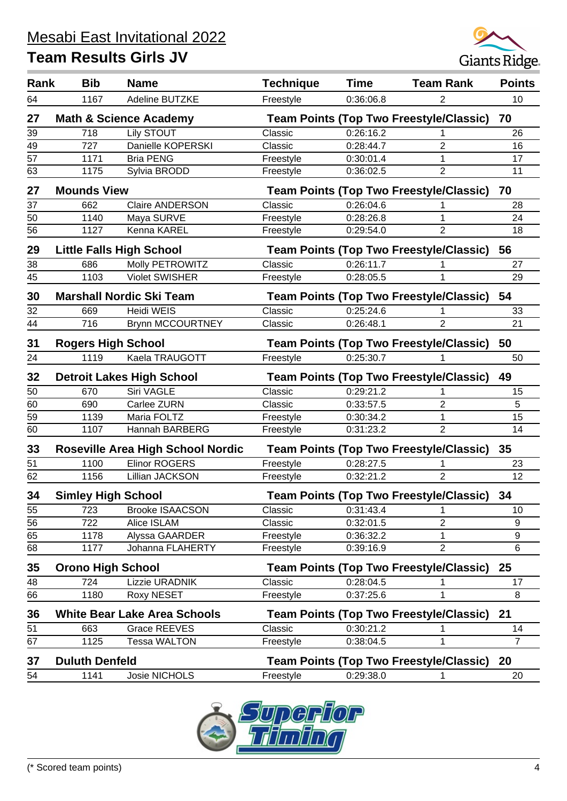

| Rank | <b>Bib</b>                | <b>Name</b>                              | <b>Technique</b> | <b>Time</b> | <b>Team Rank</b>                               | <b>Points</b>  |
|------|---------------------------|------------------------------------------|------------------|-------------|------------------------------------------------|----------------|
| 64   | 1167                      | Adeline BUTZKE                           | Freestyle        | 0:36:06.8   | 2                                              | 10             |
| 27   |                           | <b>Math &amp; Science Academy</b>        |                  |             | <b>Team Points (Top Two Freestyle/Classic)</b> | 70             |
| 39   | 718                       | <b>Lily STOUT</b>                        | Classic          | 0:26:16.2   | 1                                              | 26             |
| 49   | 727                       | Danielle KOPERSKI                        | Classic          | 0:28:44.7   | $\overline{2}$                                 | 16             |
| 57   | 1171                      | <b>Bria PENG</b>                         | Freestyle        | 0:30:01.4   | 1                                              | 17             |
| 63   | 1175                      | Sylvia BRODD                             | Freestyle        | 0:36:02.5   | $\overline{2}$                                 | 11             |
| 27   | <b>Mounds View</b>        |                                          |                  |             | <b>Team Points (Top Two Freestyle/Classic)</b> | 70             |
| 37   | 662                       | <b>Claire ANDERSON</b>                   | Classic          | 0:26:04.6   |                                                | 28             |
| 50   | 1140                      | Maya SURVE                               | Freestyle        | 0:28:26.8   | 1                                              | 24             |
| 56   | 1127                      | Kenna KAREL                              | Freestyle        | 0:29:54.0   | $\overline{2}$                                 | 18             |
| 29   |                           | <b>Little Falls High School</b>          |                  |             | <b>Team Points (Top Two Freestyle/Classic)</b> | 56             |
| 38   | 686                       | Molly PETROWITZ                          | Classic          | 0:26:11.7   | 1                                              | 27             |
| 45   | 1103                      | <b>Violet SWISHER</b>                    | Freestyle        | 0:28:05.5   | 1                                              | 29             |
| 30   |                           | <b>Marshall Nordic Ski Team</b>          |                  |             | <b>Team Points (Top Two Freestyle/Classic)</b> | 54             |
| 32   | 669                       | Heidi WEIS                               | Classic          | 0:25:24.6   | 1                                              | 33             |
| 44   | 716                       | <b>Brynn MCCOURTNEY</b>                  | Classic          | 0:26:48.1   | $\overline{2}$                                 | 21             |
| 31   | <b>Rogers High School</b> |                                          |                  |             | <b>Team Points (Top Two Freestyle/Classic)</b> | 50             |
| 24   | 1119                      | Kaela TRAUGOTT                           | Freestyle        | 0:25:30.7   |                                                | 50             |
| 32   |                           | <b>Detroit Lakes High School</b>         |                  |             | <b>Team Points (Top Two Freestyle/Classic)</b> | 49             |
| 50   | 670                       | Siri VAGLE                               | Classic          | 0:29:21.2   | 1                                              | 15             |
| 60   | 690                       | Carlee ZURN                              | Classic          | 0:33:57.5   | 2                                              | 5              |
| 59   | 1139                      | Maria FOLTZ                              | Freestyle        | 0:30:34.2   | 1                                              | 15             |
| 60   | 1107                      | Hannah BARBERG                           | Freestyle        | 0:31:23.2   | $\overline{2}$                                 | 14             |
| 33   |                           | <b>Roseville Area High School Nordic</b> |                  |             | <b>Team Points (Top Two Freestyle/Classic)</b> | 35             |
| 51   | 1100                      | <b>Elinor ROGERS</b>                     | Freestyle        | 0:28:27.5   |                                                | 23             |
| 62   | 1156                      | Lillian JACKSON                          | Freestyle        | 0:32:21.2   | $\overline{2}$                                 | 12             |
| 34   | <b>Simley High School</b> |                                          |                  |             | <b>Team Points (Top Two Freestyle/Classic)</b> | 34             |
| 55   | 723                       | <b>Brooke ISAACSON</b>                   | Classic          | 0:31:43.4   | 1                                              | 10             |
| 56   | 722                       | Alice ISLAM                              | Classic          | 0:32:01.5   | $\overline{2}$                                 | 9              |
| 65   | 1178                      | Alyssa GAARDER                           | Freestyle        | 0:36:32.2   | 1                                              | 9              |
| 68   | 1177                      | Johanna FLAHERTY                         | Freestyle        | 0:39:16.9   | 2                                              | 6              |
| 35   | <b>Orono High School</b>  |                                          |                  |             | <b>Team Points (Top Two Freestyle/Classic)</b> | 25             |
| 48   | 724                       | Lizzie URADNIK                           | Classic          | 0:28:04.5   |                                                | 17             |
| 66   | 1180                      | <b>Roxy NESET</b>                        | Freestyle        | 0:37:25.6   | 1                                              | 8              |
| 36   |                           | <b>White Bear Lake Area Schools</b>      |                  |             | <b>Team Points (Top Two Freestyle/Classic)</b> | 21             |
| 51   | 663                       | <b>Grace REEVES</b>                      | Classic          | 0:30:21.2   |                                                | 14             |
| 67   | 1125                      | Tessa WALTON                             | Freestyle        | 0:38:04.5   | 1                                              | $\overline{7}$ |
| 37   | <b>Duluth Denfeld</b>     |                                          |                  |             | <b>Team Points (Top Two Freestyle/Classic)</b> | 20             |
| 54   | 1141                      | Josie NICHOLS                            | Freestyle        | 0:29:38.0   | 1                                              | 20             |